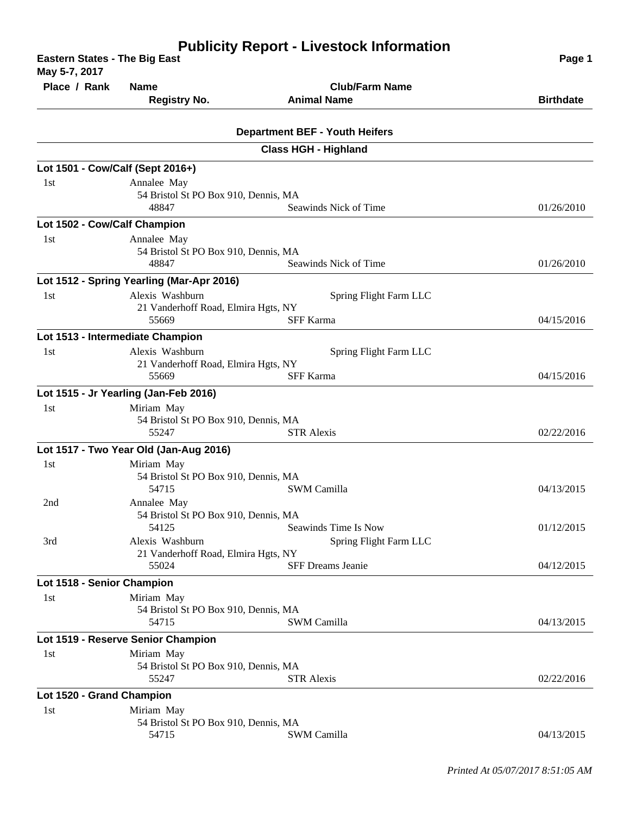| <b>Eastern States - The Big East</b><br>May 5-7, 2017 | Page 1                                        |                                       |                  |
|-------------------------------------------------------|-----------------------------------------------|---------------------------------------|------------------|
| Place / Rank                                          | <b>Name</b>                                   | <b>Club/Farm Name</b>                 |                  |
|                                                       | <b>Registry No.</b>                           | <b>Animal Name</b>                    | <b>Birthdate</b> |
|                                                       |                                               |                                       |                  |
|                                                       |                                               | <b>Department BEF - Youth Heifers</b> |                  |
|                                                       |                                               | <b>Class HGH - Highland</b>           |                  |
| Lot 1501 - Cow/Calf (Sept 2016+)                      |                                               |                                       |                  |
| 1st                                                   | Annalee May                                   |                                       |                  |
|                                                       | 54 Bristol St PO Box 910, Dennis, MA          |                                       |                  |
|                                                       | 48847                                         | Seawinds Nick of Time                 | 01/26/2010       |
| Lot 1502 - Cow/Calf Champion                          |                                               |                                       |                  |
| 1 <sub>st</sub>                                       | Annalee May                                   |                                       |                  |
|                                                       | 54 Bristol St PO Box 910, Dennis, MA          |                                       |                  |
|                                                       | 48847                                         | Seawinds Nick of Time                 | 01/26/2010       |
|                                                       | Lot 1512 - Spring Yearling (Mar-Apr 2016)     |                                       |                  |
| 1st                                                   | Alexis Washburn                               | Spring Flight Farm LLC                |                  |
|                                                       | 21 Vanderhoff Road, Elmira Hgts, NY           |                                       |                  |
|                                                       | 55669                                         | <b>SFF Karma</b>                      | 04/15/2016       |
|                                                       | Lot 1513 - Intermediate Champion              |                                       |                  |
| 1 <sub>st</sub>                                       | Alexis Washburn                               | Spring Flight Farm LLC                |                  |
|                                                       | 21 Vanderhoff Road, Elmira Hgts, NY           |                                       |                  |
|                                                       | 55669                                         | <b>SFF Karma</b>                      | 04/15/2016       |
|                                                       | Lot 1515 - Jr Yearling (Jan-Feb 2016)         |                                       |                  |
| 1st                                                   | Miriam May                                    |                                       |                  |
|                                                       | 54 Bristol St PO Box 910, Dennis, MA          |                                       |                  |
|                                                       | 55247                                         | <b>STR Alexis</b>                     | 02/22/2016       |
|                                                       | Lot 1517 - Two Year Old (Jan-Aug 2016)        |                                       |                  |
| 1st                                                   | Miriam May                                    |                                       |                  |
|                                                       | 54 Bristol St PO Box 910, Dennis, MA          |                                       |                  |
|                                                       | 54715                                         | <b>SWM Camilla</b>                    | 04/13/2015       |
| 2nd<br>3rd                                            | Annalee May                                   |                                       |                  |
|                                                       | 54 Bristol St PO Box 910, Dennis, MA          |                                       |                  |
|                                                       | 54125                                         | Seawinds Time Is Now                  | 01/12/2015       |
|                                                       | Alexis Washburn                               | Spring Flight Farm LLC                |                  |
|                                                       | 21 Vanderhoff Road, Elmira Hgts, NY<br>55024  | <b>SFF Dreams Jeanie</b>              | 04/12/2015       |
|                                                       |                                               |                                       |                  |
| Lot 1518 - Senior Champion                            |                                               |                                       |                  |
| 1st                                                   | Miriam May                                    |                                       |                  |
|                                                       | 54 Bristol St PO Box 910, Dennis, MA<br>54715 | SWM Camilla                           | 04/13/2015       |
|                                                       |                                               |                                       |                  |
|                                                       | Lot 1519 - Reserve Senior Champion            |                                       |                  |
| 1st                                                   | Miriam May                                    |                                       |                  |
|                                                       | 54 Bristol St PO Box 910, Dennis, MA<br>55247 | <b>STR Alexis</b>                     | 02/22/2016       |
|                                                       |                                               |                                       |                  |
| Lot 1520 - Grand Champion                             |                                               |                                       |                  |
| 1st                                                   | Miriam May                                    |                                       |                  |
|                                                       | 54 Bristol St PO Box 910, Dennis, MA<br>54715 | <b>SWM Camilla</b>                    | 04/13/2015       |
|                                                       |                                               |                                       |                  |